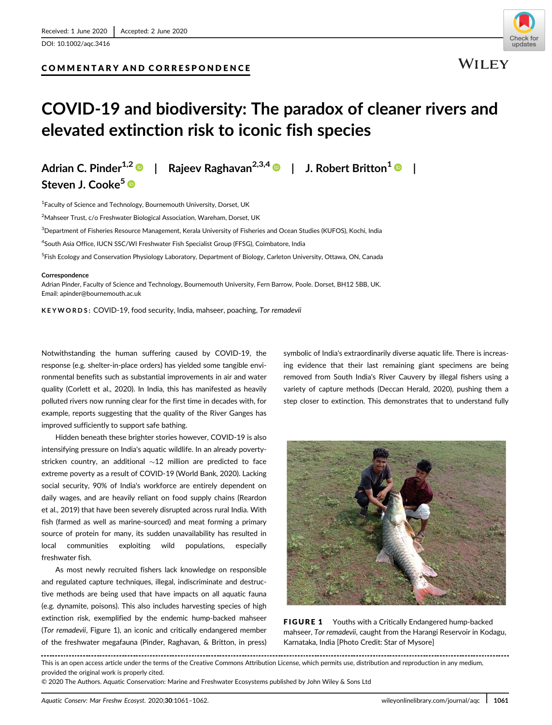## COMMENTARY AND CORRESPONDENCE



**WILEY** 

# COVID-19 and biodiversity: The paradox of cleaner rivers and elevated extinction risk to iconic fish species

Steven J. Cooke<sup>5</sup>

Adrian C. Pinder<sup>1,2</sup> | Rajeev Raghavan<sup>2,3,4</sup> | J. Robert Britton<sup>1</sup> |

<sup>1</sup> Faculty of Science and Technology, Bournemouth University, Dorset, UK <sup>2</sup>Mahseer Trust, c/o Freshwater Biological Association, Wareham, Dorset, UK  $^3$ Department of Fisheries Resource Management, Kerala University of Fisheries and Ocean Studies (KUFOS), Kochi, India 4 South Asia Office, IUCN SSC/WI Freshwater Fish Specialist Group (FFSG), Coimbatore, India <sup>5</sup>Fish Ecology and Conservation Physiology Laboratory, Department of Biology, Carleton University, Ottawa, ON, Canada

#### Correspondence

Adrian Pinder, Faculty of Science and Technology, Bournemouth University, Fern Barrow, Poole. Dorset, BH12 5BB, UK. Email: [apinder@bournemouth.ac.uk](mailto:apinder@bournemouth.ac.uk)

KEYWORDS: COVID-19, food security, India, mahseer, poaching, Tor remadevii

Notwithstanding the human suffering caused by COVID-19, the response (e.g. shelter-in-place orders) has yielded some tangible environmental benefits such as substantial improvements in air and water quality (Corlett et al., 2020). In India, this has manifested as heavily polluted rivers now running clear for the first time in decades with, for example, reports suggesting that the quality of the River Ganges has improved sufficiently to support safe bathing.

Hidden beneath these brighter stories however, COVID-19 is also intensifying pressure on India's aquatic wildlife. In an already povertystricken country, an additional  $\sim$ 12 million are predicted to face extreme poverty as a result of COVID-19 (World Bank, 2020). Lacking social security, 90% of India's workforce are entirely dependent on daily wages, and are heavily reliant on food supply chains (Reardon et al., 2019) that have been severely disrupted across rural India. With fish (farmed as well as marine-sourced) and meat forming a primary source of protein for many, its sudden unavailability has resulted in local communities exploiting wild populations, especially freshwater fish.

As most newly recruited fishers lack knowledge on responsible and regulated capture techniques, illegal, indiscriminate and destructive methods are being used that have impacts on all aquatic fauna (e.g. dynamite, poisons). This also includes harvesting species of high extinction risk, exemplified by the endemic hump-backed mahseer (Tor remadevii, Figure 1), an iconic and critically endangered member of the freshwater megafauna (Pinder, Raghavan, & Britton, in press) symbolic of India's extraordinarily diverse aquatic life. There is increasing evidence that their last remaining giant specimens are being removed from South India's River Cauvery by illegal fishers using a variety of capture methods (Deccan Herald, 2020), pushing them a step closer to extinction. This demonstrates that to understand fully



FIGURE 1 Youths with a Critically Endangered hump-backed mahseer, Tor remadevii, caught from the Harangi Reservoir in Kodagu, Karnataka, India [Photo Credit: Star of Mysore]

This is an open access article under the terms of the [Creative Commons Attribution](http://creativecommons.org/licenses/by/4.0/) License, which permits use, distribution and reproduction in any medium, provided the original work is properly cited.

© 2020 The Authors. Aquatic Conservation: Marine and Freshwater Ecosystems published by John Wiley & Sons Ltd